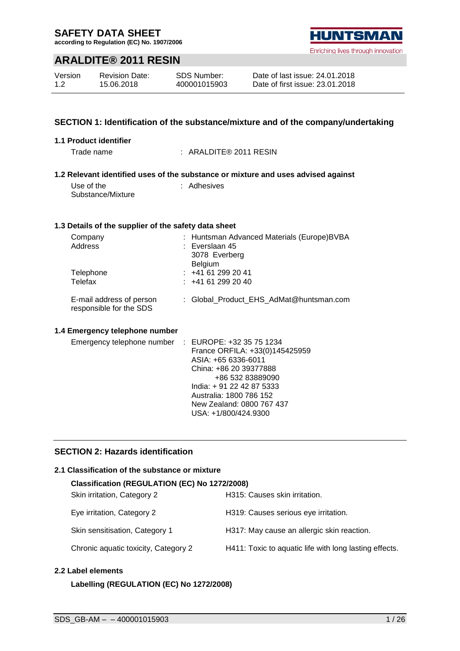**according to Regulation (EC) No. 1907/2006**

### **ARALDITE® 2011 RESIN**

| Version | <b>Revision Date:</b> | SDS Number:  |
|---------|-----------------------|--------------|
| 1.2     | 15.06.2018            | 400001015903 |

#### **SECTION 1: Identification of the substance/mixture and of the company/undertaking**

#### **1.1 Product identifier**

Trade name : ARALDITE® 2011 RESIN

#### **1.2 Relevant identified uses of the substance or mixture and uses advised against**

Use of the Substance/Mixture

: Adhesives

#### **1.3 Details of the supplier of the safety data sheet**

| Company<br>Address                                  | : Huntsman Advanced Materials (Europe)BVBA<br>$:$ Everslaan 45<br>3078 Everberg |
|-----------------------------------------------------|---------------------------------------------------------------------------------|
| Telephone<br>Telefax                                | <b>Belgium</b><br>$: +41612992041$<br>: 441612992040                            |
| E-mail address of person<br>responsible for the SDS | : Global Product EHS AdMat@huntsman.com                                         |

#### **1.4 Emergency telephone number**

| Emergency telephone number : EUROPE: +32 35 75 1234 |                                |
|-----------------------------------------------------|--------------------------------|
|                                                     | France ORFILA: +33(0)145425959 |
|                                                     | ASIA: +65 6336-6011            |
|                                                     | China: +86 20 39377888         |
|                                                     | +86 532 83889090               |
|                                                     | India: +91 22 42 87 5333       |
|                                                     | Australia: 1800 786 152        |
|                                                     | New Zealand: 0800 767 437      |
|                                                     | USA: +1/800/424.9300           |
|                                                     |                                |

### **SECTION 2: Hazards identification**

#### **2.1 Classification of the substance or mixture**

| Classification (REGULATION (EC) No 1272/2008) |                                                        |  |  |  |  |  |
|-----------------------------------------------|--------------------------------------------------------|--|--|--|--|--|
| Skin irritation, Category 2                   | H315: Causes skin irritation.                          |  |  |  |  |  |
| Eye irritation, Category 2                    | H319: Causes serious eye irritation.                   |  |  |  |  |  |
| Skin sensitisation, Category 1                | H317: May cause an allergic skin reaction.             |  |  |  |  |  |
| Chronic aquatic toxicity, Category 2          | H411: Toxic to aquatic life with long lasting effects. |  |  |  |  |  |

#### **2.2 Label elements**

#### **Labelling (REGULATION (EC) No 1272/2008)**

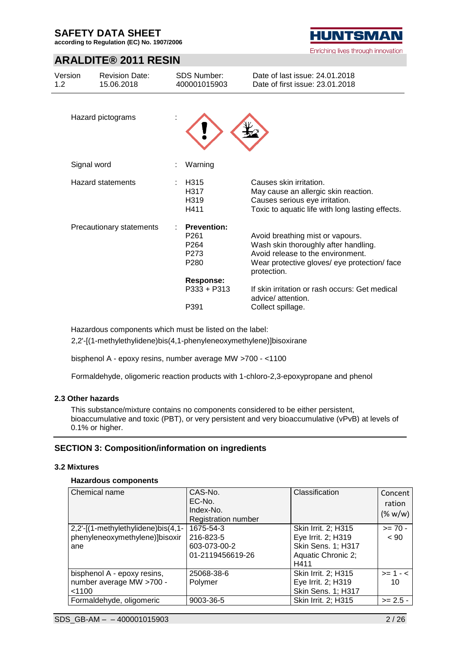**according to Regulation (EC) No. 1907/2006**

### **ARALDITE® 2011 RESIN**

| Version<br>1.2 <sub>1</sub> | <b>Revision Date:</b><br>15.06.2018 |    | <b>SDS Number:</b><br>400001015903                                         | Date of last issue: 24.01.2018<br>Date of first issue: 23.01.2018                                                                                                            |
|-----------------------------|-------------------------------------|----|----------------------------------------------------------------------------|------------------------------------------------------------------------------------------------------------------------------------------------------------------------------|
|                             | Hazard pictograms                   |    |                                                                            |                                                                                                                                                                              |
|                             | Signal word                         |    | Warning                                                                    |                                                                                                                                                                              |
|                             | <b>Hazard statements</b>            | t. | H <sub>315</sub><br>H317<br>H319<br>H411                                   | Causes skin irritation.<br>May cause an allergic skin reaction.<br>Causes serious eye irritation.<br>Toxic to aquatic life with long lasting effects.                        |
|                             | Precautionary statements            |    | <b>Prevention:</b><br>P <sub>261</sub><br>P <sub>264</sub><br>P273<br>P280 | Avoid breathing mist or vapours.<br>Wash skin thoroughly after handling.<br>Avoid release to the environment.<br>Wear protective gloves/ eye protection/ face<br>protection. |
|                             |                                     |    | <b>Response:</b>                                                           |                                                                                                                                                                              |
|                             |                                     |    | $P333 + P313$                                                              | If skin irritation or rash occurs: Get medical<br>advice/ attention.                                                                                                         |
|                             |                                     |    | P391                                                                       | Collect spillage.                                                                                                                                                            |

Hazardous components which must be listed on the label:

2,2'-[(1-methylethylidene)bis(4,1-phenyleneoxymethylene)]bisoxirane

bisphenol A - epoxy resins, number average MW >700 - <1100

Formaldehyde, oligomeric reaction products with 1-chloro-2,3-epoxypropane and phenol

#### **2.3 Other hazards**

This substance/mixture contains no components considered to be either persistent, bioaccumulative and toxic (PBT), or very persistent and very bioaccumulative (vPvB) at levels of 0.1% or higher.

### **SECTION 3: Composition/information on ingredients**

#### **3.2 Mixtures**

#### **Hazardous components**

| Chemical name                                                               | CAS-No.<br>EC-No.<br>Index-No.<br><b>Registration number</b> | Classification                                                                                       | Concent<br>ration<br>$(\% w/w)$ |
|-----------------------------------------------------------------------------|--------------------------------------------------------------|------------------------------------------------------------------------------------------------------|---------------------------------|
| 2,2'-[(1-methylethylidene)bis(4,1-<br>phenyleneoxymethylene)]bisoxir<br>ane | 1675-54-3<br>216-823-5<br>603-073-00-2<br>01-2119456619-26   | Skin Irrit. 2; H315<br>Eye Irrit. 2; H319<br><b>Skin Sens. 1; H317</b><br>Aquatic Chronic 2;<br>H411 | $>= 70 -$<br>~< 90              |
| bisphenol A - epoxy resins,<br>number average MW >700 -<br>< 1100           | 25068-38-6<br>Polymer                                        | Skin Irrit. 2; H315<br>Eye Irrit. 2; H319<br>Skin Sens. 1; H317                                      | $>= 1 - 5$<br>10                |
| Formaldehyde, oligomeric                                                    | 9003-36-5                                                    | Skin Irrit. 2; H315                                                                                  | $>= 2.5 -$                      |

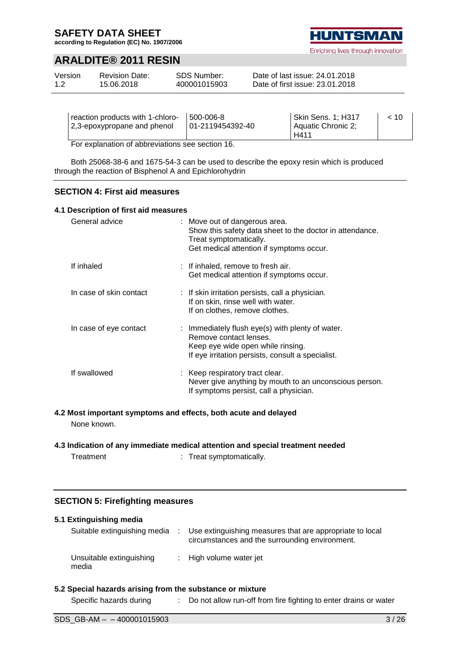**according to Regulation (EC) No. 1907/2006**

### **ARALDITE® 2011 RESIN**

| Version | <b>Revision Date:</b> | SDS Number:  | Date of last issue: 24.01.2018  |  |
|---------|-----------------------|--------------|---------------------------------|--|
| 1.2     | 15.06.2018            | 400001015903 | Date of first issue: 23.01.2018 |  |

| reaction products with 1-chloro-<br>12,3-epoxypropane and phenol | 500-006-8<br>01-2119454392-40 | Skin Sens. 1; H317<br>I Aquatic Chronic 2;<br>H411 | ~< 10 |  |  |
|------------------------------------------------------------------|-------------------------------|----------------------------------------------------|-------|--|--|
| $\Gamma$ ar avalanation of abbroviations associan 10             |                               |                                                    |       |  |  |

For explanation of abbreviations see section 16.

Both 25068-38-6 and 1675-54-3 can be used to describe the epoxy resin which is produced through the reaction of Bisphenol A and Epichlorohydrin

#### **SECTION 4: First aid measures**

#### **4.1 Description of first aid measures**

| General advice          | : Move out of dangerous area.<br>Show this safety data sheet to the doctor in attendance.<br>Treat symptomatically.<br>Get medical attention if symptoms occur.      |
|-------------------------|----------------------------------------------------------------------------------------------------------------------------------------------------------------------|
| If inhaled              | : If inhaled, remove to fresh air.<br>Get medical attention if symptoms occur.                                                                                       |
| In case of skin contact | : If skin irritation persists, call a physician.<br>If on skin, rinse well with water.<br>If on clothes, remove clothes.                                             |
| In case of eye contact  | : Immediately flush eye(s) with plenty of water.<br>Remove contact lenses.<br>Keep eye wide open while rinsing.<br>If eye irritation persists, consult a specialist. |
| If swallowed            | : Keep respiratory tract clear.<br>Never give anything by mouth to an unconscious person.<br>If symptoms persist, call a physician.                                  |

#### **4.2 Most important symptoms and effects, both acute and delayed** None known.

### **4.3 Indication of any immediate medical attention and special treatment needed**

Treatment : Treat symptomatically.

#### **SECTION 5: Firefighting measures**

| 5.1 Extinguishing media           |                                                                                                            |
|-----------------------------------|------------------------------------------------------------------------------------------------------------|
| Suitable extinguishing media      | Use extinguishing measures that are appropriate to local<br>circumstances and the surrounding environment. |
| Unsuitable extinguishing<br>media | : High volume water jet                                                                                    |

#### **5.2 Special hazards arising from the substance or mixture**

| Specific hazards during | Do not allow run-off from fire fighting to enter drains or water |
|-------------------------|------------------------------------------------------------------|
|                         |                                                                  |

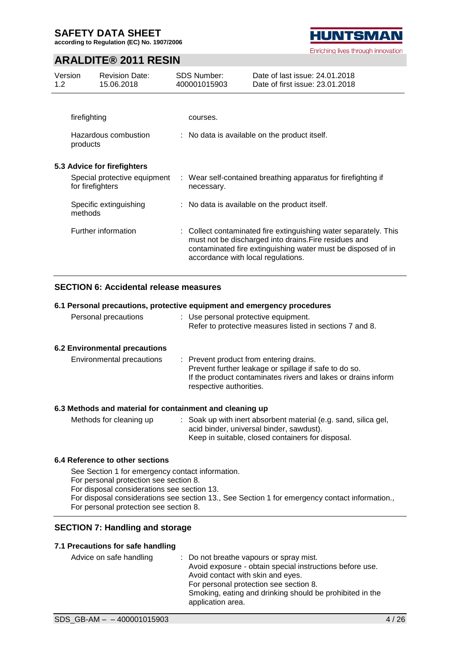**according to Regulation (EC) No. 1907/2006**

### **ARALDITE® 2011 RESIN**

| Version<br>1.2 <sub>1</sub> |                  | <b>Revision Date:</b><br>15.06.2018 | <b>SDS Number:</b><br>400001015903 | Date of last issue: 24.01.2018<br>Date of first issue: 23.01.2018                                                                                                                         |
|-----------------------------|------------------|-------------------------------------|------------------------------------|-------------------------------------------------------------------------------------------------------------------------------------------------------------------------------------------|
|                             |                  |                                     |                                    |                                                                                                                                                                                           |
|                             | firefighting     |                                     | courses.                           |                                                                                                                                                                                           |
|                             | products         | Hazardous combustion                |                                    | : No data is available on the product itself.                                                                                                                                             |
|                             |                  | 5.3 Advice for firefighters         |                                    |                                                                                                                                                                                           |
|                             | for firefighters | Special protective equipment        | necessary.                         | : Wear self-contained breathing apparatus for firefighting if                                                                                                                             |
|                             | methods          | Specific extinguishing              |                                    | : No data is available on the product itself.                                                                                                                                             |
|                             |                  | Further information                 | accordance with local regulations. | : Collect contaminated fire extinguishing water separately. This<br>must not be discharged into drains. Fire residues and<br>contaminated fire extinguishing water must be disposed of in |

#### **SECTION 6: Accidental release measures**

#### **6.1 Personal precautions, protective equipment and emergency procedures**

| Personal precautions          | : Use personal protective equipment.<br>Refer to protective measures listed in sections 7 and 8.                                                                  |
|-------------------------------|-------------------------------------------------------------------------------------------------------------------------------------------------------------------|
| 6.2 Environmental precautions |                                                                                                                                                                   |
| Environmental precautions     | : Prevent product from entering drains.<br>Prevent further leakage or spillage if safe to do so.<br>If the product contaminates rivers and lakes or drains inform |

#### **6.3 Methods and material for containment and cleaning up**

| Methods for cleaning up | : Soak up with inert absorbent material (e.g. sand, silica gel, |
|-------------------------|-----------------------------------------------------------------|
|                         | acid binder, universal binder, sawdust).                        |
|                         | Keep in suitable, closed containers for disposal.               |

respective authorities.

#### **6.4 Reference to other sections**

See Section 1 for emergency contact information.

For personal protection see section 8.

For disposal considerations see section 13.

- For disposal considerations see section 13., See Section 1 for emergency contact information.,
- For personal protection see section 8.

#### **SECTION 7: Handling and storage**

#### **7.1 Precautions for safe handling**

| Advice on safe handling | : Do not breathe vapours or spray mist.<br>Avoid exposure - obtain special instructions before use.<br>Avoid contact with skin and eyes.<br>For personal protection see section 8.<br>Smoking, eating and drinking should be prohibited in the<br>application area. |
|-------------------------|---------------------------------------------------------------------------------------------------------------------------------------------------------------------------------------------------------------------------------------------------------------------|
|-------------------------|---------------------------------------------------------------------------------------------------------------------------------------------------------------------------------------------------------------------------------------------------------------------|

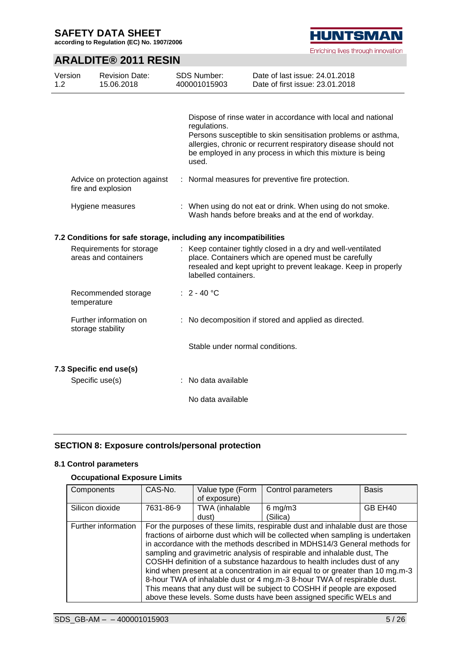**according to Regulation (EC) No. 1907/2006**

# **HUNTSMAN** Enriching lives through innovation

### **ARALDITE® 2011 RESIN**

| Version<br>1.2 | <b>Revision Date:</b><br>15.06.2018                              | <b>SDS Number:</b><br>400001015903                                                                                | Date of last issue: 24.01.2018<br>Date of first issue: 23.01.2018                                                                                                                                                                                            |
|----------------|------------------------------------------------------------------|-------------------------------------------------------------------------------------------------------------------|--------------------------------------------------------------------------------------------------------------------------------------------------------------------------------------------------------------------------------------------------------------|
|                |                                                                  | regulations.<br>used.                                                                                             | Dispose of rinse water in accordance with local and national<br>Persons susceptible to skin sensitisation problems or asthma,<br>allergies, chronic or recurrent respiratory disease should not<br>be employed in any process in which this mixture is being |
|                | Advice on protection against<br>fire and explosion               |                                                                                                                   | : Normal measures for preventive fire protection.                                                                                                                                                                                                            |
|                | Hygiene measures                                                 | : When using do not eat or drink. When using do not smoke.<br>Wash hands before breaks and at the end of workday. |                                                                                                                                                                                                                                                              |
|                | 7.2 Conditions for safe storage, including any incompatibilities |                                                                                                                   |                                                                                                                                                                                                                                                              |
|                | Requirements for storage<br>areas and containers                 | labelled containers.                                                                                              | : Keep container tightly closed in a dry and well-ventilated<br>place. Containers which are opened must be carefully<br>resealed and kept upright to prevent leakage. Keep in properly                                                                       |
|                | Recommended storage<br>temperature                               | : $2 - 40 °C$                                                                                                     |                                                                                                                                                                                                                                                              |
|                | Further information on<br>storage stability                      |                                                                                                                   | : No decomposition if stored and applied as directed.                                                                                                                                                                                                        |
|                |                                                                  |                                                                                                                   | Stable under normal conditions.                                                                                                                                                                                                                              |
|                | 7.3 Specific end use(s)                                          |                                                                                                                   |                                                                                                                                                                                                                                                              |
|                | Specific use(s)                                                  | : No data available                                                                                               |                                                                                                                                                                                                                                                              |
|                |                                                                  | No data available                                                                                                 |                                                                                                                                                                                                                                                              |

### **SECTION 8: Exposure controls/personal protection**

#### **8.1 Control parameters**

### **Occupational Exposure Limits**

| Components          | CAS-No.                                                                        | Value type (Form<br>of exposure) | Control parameters                                                             | <b>Basis</b> |
|---------------------|--------------------------------------------------------------------------------|----------------------------------|--------------------------------------------------------------------------------|--------------|
|                     |                                                                                |                                  |                                                                                |              |
| Silicon dioxide     | 7631-86-9                                                                      | TWA (inhalable                   | $6 \,\mathrm{mg/m}$                                                            | GB EH40      |
|                     |                                                                                | dust)                            | (Silica)                                                                       |              |
| Further information |                                                                                |                                  | For the purposes of these limits, respirable dust and inhalable dust are those |              |
|                     |                                                                                |                                  | fractions of airborne dust which will be collected when sampling is undertaken |              |
|                     | in accordance with the methods described in MDHS14/3 General methods for       |                                  |                                                                                |              |
|                     | sampling and gravimetric analysis of respirable and inhalable dust, The        |                                  |                                                                                |              |
|                     | COSHH definition of a substance hazardous to health includes dust of any       |                                  |                                                                                |              |
|                     | kind when present at a concentration in air equal to or greater than 10 mg.m-3 |                                  |                                                                                |              |
|                     | 8-hour TWA of inhalable dust or 4 mg.m-3 8-hour TWA of respirable dust.        |                                  |                                                                                |              |
|                     |                                                                                |                                  | This means that any dust will be subject to COSHH if people are exposed        |              |
|                     |                                                                                |                                  | above these levels. Some dusts have been assigned specific WELs and            |              |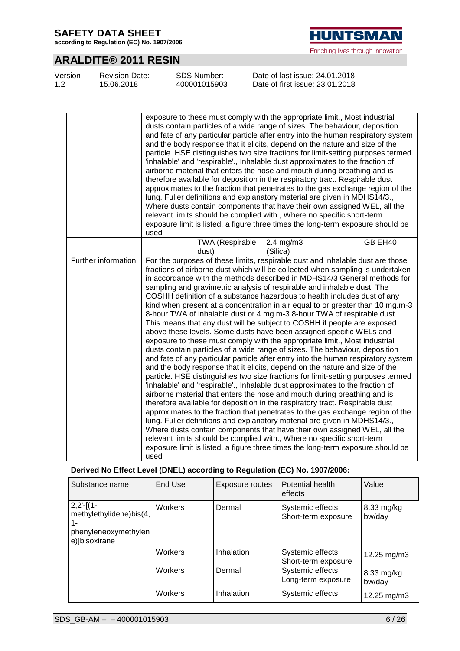**according to Regulation (EC) No. 1907/2006**

# **HUNTSMAN** Enriching lives through innovation

### **ARALDITE® 2011 RESIN**

| Version | <b>Revision Date:</b> | SDS Number:  | Date of last issue: 24.01.2018  |
|---------|-----------------------|--------------|---------------------------------|
| 1.2     | 15.06.2018            | 400001015903 | Date of first issue: 23.01.2018 |

|                     | used |                          | exposure to these must comply with the appropriate limit., Most industrial<br>dusts contain particles of a wide range of sizes. The behaviour, deposition<br>and fate of any particular particle after entry into the human respiratory system<br>and the body response that it elicits, depend on the nature and size of the<br>particle. HSE distinguishes two size fractions for limit-setting purposes termed<br>'inhalable' and 'respirable'., Inhalable dust approximates to the fraction of<br>airborne material that enters the nose and mouth during breathing and is<br>therefore available for deposition in the respiratory tract. Respirable dust<br>approximates to the fraction that penetrates to the gas exchange region of the<br>lung. Fuller definitions and explanatory material are given in MDHS14/3.,<br>Where dusts contain components that have their own assigned WEL, all the<br>relevant limits should be complied with., Where no specific short-term<br>exposure limit is listed, a figure three times the long-term exposure should be                                                                                                                                                                                                                                                                                                                                                                                                                                                                                                                                                                                                                                                                                                                       |         |
|---------------------|------|--------------------------|----------------------------------------------------------------------------------------------------------------------------------------------------------------------------------------------------------------------------------------------------------------------------------------------------------------------------------------------------------------------------------------------------------------------------------------------------------------------------------------------------------------------------------------------------------------------------------------------------------------------------------------------------------------------------------------------------------------------------------------------------------------------------------------------------------------------------------------------------------------------------------------------------------------------------------------------------------------------------------------------------------------------------------------------------------------------------------------------------------------------------------------------------------------------------------------------------------------------------------------------------------------------------------------------------------------------------------------------------------------------------------------------------------------------------------------------------------------------------------------------------------------------------------------------------------------------------------------------------------------------------------------------------------------------------------------------------------------------------------------------------------------------------------------------|---------|
|                     |      | TWA (Respirable<br>dust) | 2.4 mg/m3<br>(Silica)                                                                                                                                                                                                                                                                                                                                                                                                                                                                                                                                                                                                                                                                                                                                                                                                                                                                                                                                                                                                                                                                                                                                                                                                                                                                                                                                                                                                                                                                                                                                                                                                                                                                                                                                                                        | GB EH40 |
| Further information | used |                          | For the purposes of these limits, respirable dust and inhalable dust are those<br>fractions of airborne dust which will be collected when sampling is undertaken<br>in accordance with the methods described in MDHS14/3 General methods for<br>sampling and gravimetric analysis of respirable and inhalable dust, The<br>COSHH definition of a substance hazardous to health includes dust of any<br>kind when present at a concentration in air equal to or greater than 10 mg.m-3<br>8-hour TWA of inhalable dust or 4 mg.m-3 8-hour TWA of respirable dust.<br>This means that any dust will be subject to COSHH if people are exposed<br>above these levels. Some dusts have been assigned specific WELs and<br>exposure to these must comply with the appropriate limit., Most industrial<br>dusts contain particles of a wide range of sizes. The behaviour, deposition<br>and fate of any particular particle after entry into the human respiratory system<br>and the body response that it elicits, depend on the nature and size of the<br>particle. HSE distinguishes two size fractions for limit-setting purposes termed<br>'inhalable' and 'respirable'., Inhalable dust approximates to the fraction of<br>airborne material that enters the nose and mouth during breathing and is<br>therefore available for deposition in the respiratory tract. Respirable dust<br>approximates to the fraction that penetrates to the gas exchange region of the<br>lung. Fuller definitions and explanatory material are given in MDHS14/3.,<br>Where dusts contain components that have their own assigned WEL, all the<br>relevant limits should be complied with., Where no specific short-term<br>exposure limit is listed, a figure three times the long-term exposure should be |         |

### **Derived No Effect Level (DNEL) according to Regulation (EC) No. 1907/2006:**

| Substance name                                                                        | End Use        | Exposure routes | <b>Potential health</b><br>effects       | Value                |
|---------------------------------------------------------------------------------------|----------------|-----------------|------------------------------------------|----------------------|
| $2,2'-[(1-$<br>methylethylidene)bis(4,<br>1-<br>phenyleneoxymethylen<br>e)]bisoxirane | <b>Workers</b> | Dermal          | Systemic effects,<br>Short-term exposure | 8.33 mg/kg<br>bw/day |
|                                                                                       | <b>Workers</b> | Inhalation      | Systemic effects,<br>Short-term exposure | 12.25 mg/m3          |
|                                                                                       | <b>Workers</b> | Dermal          | Systemic effects,<br>Long-term exposure  | 8.33 mg/kg<br>bw/day |
|                                                                                       | Workers        | Inhalation      | Systemic effects,                        | 12.25 mg/m3          |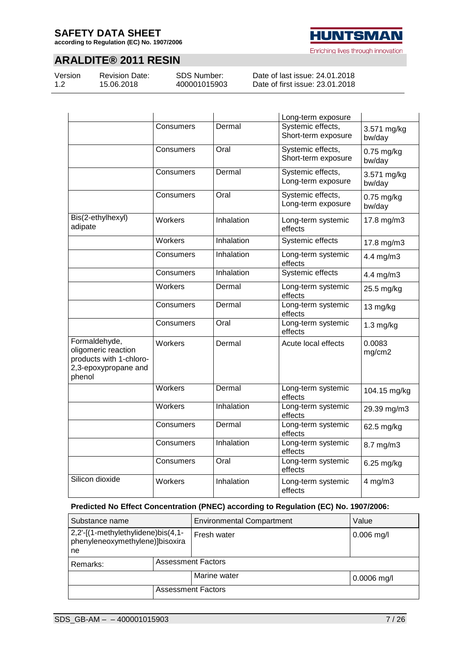**according to Regulation (EC) No. 1907/2006**

### **ARALDITE® 2011 RESIN**

Version 1.2

Revision Date: 15.06.2018

SDS Number: 400001015903

Date of last issue: 24.01.2018 Date of first issue: 23.01.2018

|                                                                                                   |           |            | Long-term exposure                       |                        |
|---------------------------------------------------------------------------------------------------|-----------|------------|------------------------------------------|------------------------|
|                                                                                                   | Consumers | Dermal     | Systemic effects,<br>Short-term exposure | 3.571 mg/kg<br>bw/day  |
|                                                                                                   | Consumers | Oral       | Systemic effects,<br>Short-term exposure | $0.75$ mg/kg<br>bw/day |
|                                                                                                   | Consumers | Dermal     | Systemic effects,<br>Long-term exposure  | 3.571 mg/kg<br>bw/day  |
|                                                                                                   | Consumers | Oral       | Systemic effects,<br>Long-term exposure  | 0.75 mg/kg<br>bw/day   |
| Bis(2-ethylhexyl)<br>adipate                                                                      | Workers   | Inhalation | Long-term systemic<br>effects            | 17.8 mg/m3             |
|                                                                                                   | Workers   | Inhalation | Systemic effects                         | 17.8 mg/m3             |
|                                                                                                   | Consumers | Inhalation | Long-term systemic<br>effects            | 4.4 mg/m3              |
|                                                                                                   | Consumers | Inhalation | Systemic effects                         | 4.4 mg/m3              |
|                                                                                                   | Workers   | Dermal     | Long-term systemic<br>effects            | 25.5 mg/kg             |
|                                                                                                   | Consumers | Dermal     | Long-term systemic<br>effects            | 13 mg/kg               |
|                                                                                                   | Consumers | Oral       | Long-term systemic<br>effects            | $1.3$ mg/kg            |
| Formaldehyde,<br>oligomeric reaction<br>products with 1-chloro-<br>2,3-epoxypropane and<br>phenol | Workers   | Dermal     | Acute local effects                      | 0.0083<br>mg/cm2       |
|                                                                                                   | Workers   | Dermal     | Long-term systemic<br>effects            | 104.15 mg/kg           |
|                                                                                                   | Workers   | Inhalation | Long-term systemic<br>effects            | 29.39 mg/m3            |
|                                                                                                   | Consumers | Dermal     | Long-term systemic<br>effects            | 62.5 mg/kg             |
|                                                                                                   | Consumers | Inhalation | Long-term systemic<br>effects            | 8.7 mg/m3              |
|                                                                                                   | Consumers | Oral       | Long-term systemic<br>effects            | 6.25 mg/kg             |
| Silicon dioxide                                                                                   | Workers   | Inhalation | Long-term systemic<br>effects            | $4$ mg/m $3$           |

#### **Predicted No Effect Concentration (PNEC) according to Regulation (EC) No. 1907/2006:**

| Substance name                                                              |                           | <b>Environmental Compartment</b> | Value         |
|-----------------------------------------------------------------------------|---------------------------|----------------------------------|---------------|
| 2,2'-[(1-methylethylidene)bis(4,1-<br>phenyleneoxymethylene)]bisoxira<br>ne |                           | Fresh water                      | $0.006$ mg/l  |
| Remarks:                                                                    | <b>Assessment Factors</b> |                                  |               |
|                                                                             |                           | Marine water                     | $0.0006$ mg/l |
| <b>Assessment Factors</b>                                                   |                           |                                  |               |

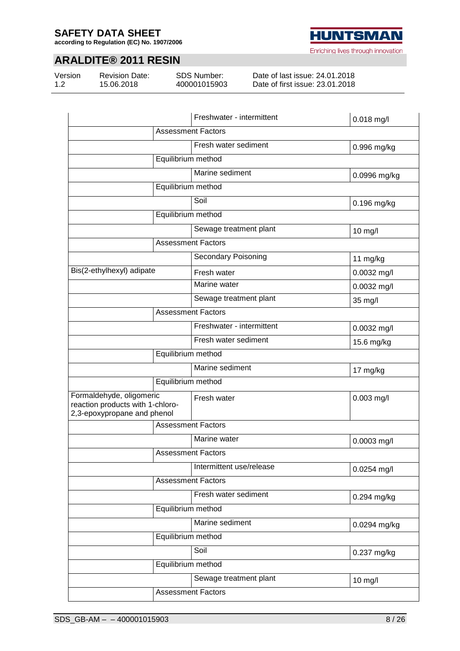**according to Regulation (EC) No. 1907/2006**

### **ARALDITE® 2011 RESIN**

Version 1.2

Revision Date: 15.06.2018

SDS Number: 400001015903

Date of last issue: 24.01.2018 Date of first issue: 23.01.2018

|                                                                                             |                           | Freshwater - intermittent  | 0.018 mg/l    |  |
|---------------------------------------------------------------------------------------------|---------------------------|----------------------------|---------------|--|
| <b>Assessment Factors</b>                                                                   |                           |                            |               |  |
|                                                                                             |                           | Fresh water sediment       | 0.996 mg/kg   |  |
|                                                                                             | Equilibrium method        |                            |               |  |
|                                                                                             |                           | Marine sediment            | 0.0996 mg/kg  |  |
|                                                                                             | Equilibrium method        |                            |               |  |
|                                                                                             |                           | Soil                       | 0.196 mg/kg   |  |
|                                                                                             | Equilibrium method        |                            |               |  |
|                                                                                             |                           | Sewage treatment plant     | 10 mg/l       |  |
|                                                                                             | <b>Assessment Factors</b> |                            |               |  |
|                                                                                             |                           | <b>Secondary Poisoning</b> | 11 mg/kg      |  |
| Bis(2-ethylhexyl) adipate                                                                   |                           | Fresh water                | 0.0032 mg/l   |  |
|                                                                                             |                           | Marine water               | 0.0032 mg/l   |  |
|                                                                                             |                           | Sewage treatment plant     | 35 mg/l       |  |
|                                                                                             | <b>Assessment Factors</b> |                            |               |  |
|                                                                                             |                           | Freshwater - intermittent  | 0.0032 mg/l   |  |
|                                                                                             |                           | Fresh water sediment       | 15.6 mg/kg    |  |
|                                                                                             | Equilibrium method        |                            |               |  |
|                                                                                             |                           | Marine sediment            | 17 mg/kg      |  |
|                                                                                             | Equilibrium method        |                            |               |  |
| Formaldehyde, oligomeric<br>reaction products with 1-chloro-<br>2,3-epoxypropane and phenol |                           | Fresh water                | $0.003$ mg/l  |  |
|                                                                                             | <b>Assessment Factors</b> |                            |               |  |
|                                                                                             |                           | Marine water               | 0.0003 mg/l   |  |
|                                                                                             | <b>Assessment Factors</b> |                            |               |  |
|                                                                                             |                           | Intermittent use/release   | $0.0254$ mg/l |  |
|                                                                                             | <b>Assessment Factors</b> |                            |               |  |
|                                                                                             |                           | Fresh water sediment       | 0.294 mg/kg   |  |
|                                                                                             | Equilibrium method        |                            |               |  |
|                                                                                             |                           | Marine sediment            | 0.0294 mg/kg  |  |
|                                                                                             | Equilibrium method        |                            |               |  |
|                                                                                             |                           | Soil                       | 0.237 mg/kg   |  |
|                                                                                             | Equilibrium method        |                            |               |  |
|                                                                                             |                           | Sewage treatment plant     | 10 mg/l       |  |
|                                                                                             |                           | <b>Assessment Factors</b>  |               |  |

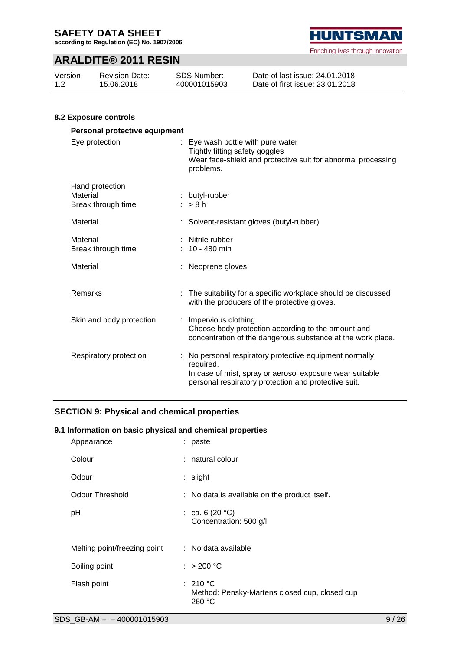**according to Regulation (EC) No. 1907/2006**

### **ARALDITE® 2011 RESIN**

| Version | <b>Revision Date:</b> | SDS Number:  | Date of last issue: 24.01.2018  |
|---------|-----------------------|--------------|---------------------------------|
| 1.2     | 15.06.2018            | 400001015903 | Date of first issue: 23.01.2018 |

#### **8.2 Exposure controls**

| Personal protective equipment                     |  |                                                                                                                                                                                          |  |  |  |  |
|---------------------------------------------------|--|------------------------------------------------------------------------------------------------------------------------------------------------------------------------------------------|--|--|--|--|
| Eye protection                                    |  | : Eye wash bottle with pure water<br>Tightly fitting safety goggles<br>Wear face-shield and protective suit for abnormal processing<br>problems.                                         |  |  |  |  |
| Hand protection<br>Material<br>Break through time |  | : butyl-rubber<br>$:$ > 8 h                                                                                                                                                              |  |  |  |  |
| Material                                          |  | Solvent-resistant gloves (butyl-rubber)                                                                                                                                                  |  |  |  |  |
| Material<br>Break through time                    |  | : Nitrile rubber<br>$: 10 - 480$ min                                                                                                                                                     |  |  |  |  |
| Material                                          |  | Neoprene gloves                                                                                                                                                                          |  |  |  |  |
| Remarks                                           |  | : The suitability for a specific workplace should be discussed<br>with the producers of the protective gloves.                                                                           |  |  |  |  |
| Skin and body protection                          |  | : Impervious clothing<br>Choose body protection according to the amount and<br>concentration of the dangerous substance at the work place.                                               |  |  |  |  |
| Respiratory protection                            |  | : No personal respiratory protective equipment normally<br>required.<br>In case of mist, spray or aerosol exposure wear suitable<br>personal respiratory protection and protective suit. |  |  |  |  |

### **SECTION 9: Physical and chemical properties**

#### **9.1 Information on basic physical and chemical properties**

| Appearance                   | : paste                                                             |
|------------------------------|---------------------------------------------------------------------|
| Colour                       | : natural colour                                                    |
| Odour                        | : slight                                                            |
| <b>Odour Threshold</b>       | : No data is available on the product itself.                       |
| pH                           | : ca. 6 (20 $^{\circ}$ C)<br>Concentration: 500 g/l                 |
| Melting point/freezing point | : No data available                                                 |
| Boiling point                | : $> 200 °C$                                                        |
| Flash point                  | : 210 °C<br>Method: Pensky-Martens closed cup, closed cup<br>260 °C |

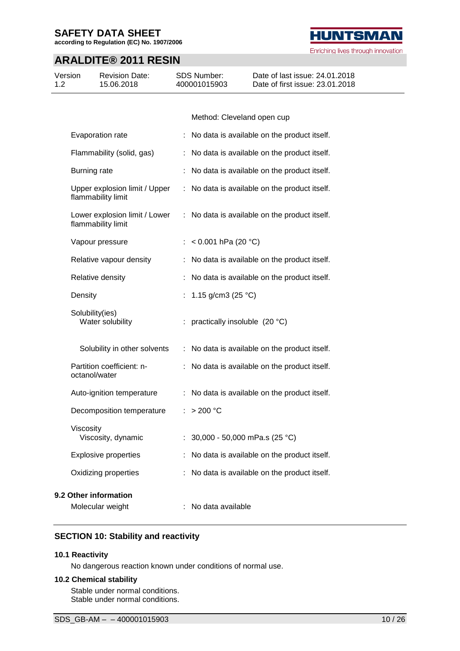**according to Regulation (EC) No. 1907/2006**

### **ARALDITE® 2011 RESIN**

| Version<br>1.2 | <b>Revision Date:</b><br>15.06.2018                 |    | <b>SDS Number:</b><br>400001015903 | Date of last issue: 24.01.2018<br>Date of first issue: 23.01.2018 |
|----------------|-----------------------------------------------------|----|------------------------------------|-------------------------------------------------------------------|
|                |                                                     |    |                                    |                                                                   |
|                |                                                     |    | Method: Cleveland open cup         |                                                                   |
|                | Evaporation rate                                    |    |                                    | : No data is available on the product itself.                     |
|                | Flammability (solid, gas)                           |    |                                    | : No data is available on the product itself.                     |
|                | Burning rate                                        |    |                                    | No data is available on the product itself.                       |
|                | Upper explosion limit / Upper<br>flammability limit |    |                                    | : No data is available on the product itself.                     |
|                | Lower explosion limit / Lower<br>flammability limit |    |                                    | : No data is available on the product itself.                     |
|                | Vapour pressure                                     |    | < $0.001$ hPa (20 °C)              |                                                                   |
|                | Relative vapour density                             |    |                                    | : No data is available on the product itself.                     |
|                | Relative density                                    |    |                                    | : No data is available on the product itself.                     |
|                | Density                                             | t. | 1.15 g/cm3 (25 $°C$ )              |                                                                   |
|                | Solubility(ies)<br>Water solubility                 |    | : practically insoluble (20 °C)    |                                                                   |
|                | Solubility in other solvents                        |    |                                    | : No data is available on the product itself.                     |
|                | Partition coefficient: n-<br>octanol/water          |    |                                    | : No data is available on the product itself.                     |
|                | Auto-ignition temperature                           |    |                                    | : No data is available on the product itself.                     |
|                | Decomposition temperature                           |    | : > 200 °C                         |                                                                   |
|                | Viscosity<br>Viscosity, dynamic                     |    | : $30,000 - 50,000$ mPa.s (25 °C)  |                                                                   |
|                | <b>Explosive properties</b>                         |    |                                    | No data is available on the product itself.                       |
|                | Oxidizing properties                                |    |                                    | No data is available on the product itself.                       |
|                | 9.2 Other information                               |    |                                    |                                                                   |
|                | Molecular weight                                    |    | No data available                  |                                                                   |

#### **SECTION 10: Stability and reactivity**

#### **10.1 Reactivity**

No dangerous reaction known under conditions of normal use.

#### **10.2 Chemical stability**

Stable under normal conditions. Stable under normal conditions.

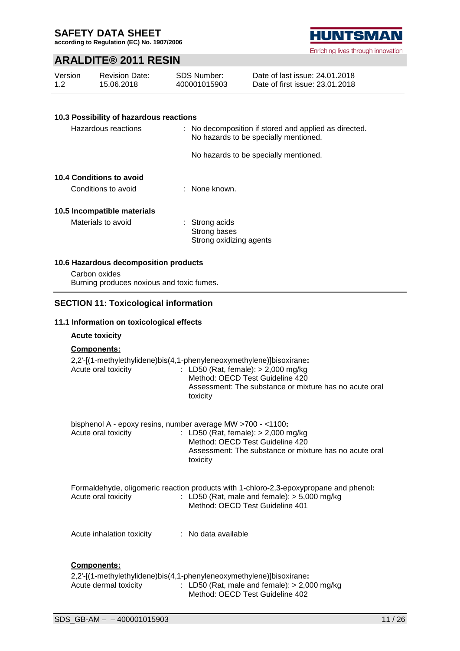**according to Regulation (EC) No. 1907/2006**

### **ARALDITE® 2011 RESIN**

| Version<br>1.2 | <b>Revision Date:</b><br>15.06.2018                                                                 | <b>SDS Number:</b><br>400001015903                        | Date of last issue: 24.01.2018<br>Date of first issue: 23.01.2018                                                                                                          |
|----------------|-----------------------------------------------------------------------------------------------------|-----------------------------------------------------------|----------------------------------------------------------------------------------------------------------------------------------------------------------------------------|
|                |                                                                                                     |                                                           |                                                                                                                                                                            |
|                | 10.3 Possibility of hazardous reactions                                                             |                                                           |                                                                                                                                                                            |
|                | Hazardous reactions                                                                                 |                                                           | No decomposition if stored and applied as directed.<br>No hazards to be specially mentioned.                                                                               |
|                |                                                                                                     |                                                           | No hazards to be specially mentioned.                                                                                                                                      |
|                | <b>10.4 Conditions to avoid</b>                                                                     |                                                           |                                                                                                                                                                            |
|                | Conditions to avoid                                                                                 | : None known.                                             |                                                                                                                                                                            |
|                | 10.5 Incompatible materials                                                                         |                                                           |                                                                                                                                                                            |
|                | Materials to avoid                                                                                  | : Strong acids<br>Strong bases<br>Strong oxidizing agents |                                                                                                                                                                            |
|                | 10.6 Hazardous decomposition products<br>Carbon oxides<br>Burning produces noxious and toxic fumes. |                                                           |                                                                                                                                                                            |
|                | <b>SECTION 11: Toxicological information</b>                                                        |                                                           |                                                                                                                                                                            |
|                | 11.1 Information on toxicological effects                                                           |                                                           |                                                                                                                                                                            |
|                | <b>Acute toxicity</b>                                                                               |                                                           |                                                                                                                                                                            |
|                | Components:                                                                                         |                                                           |                                                                                                                                                                            |
|                | 2,2'-[(1-methylethylidene)bis(4,1-phenyleneoxymethylene)]bisoxirane:<br>Acute oral toxicity         | toxicity                                                  | : LD50 (Rat, female): > 2,000 mg/kg<br>Method: OECD Test Guideline 420<br>Assessment: The substance or mixture has no acute oral                                           |
|                | bisphenol A - epoxy resins, number average MW >700 - <1100:                                         |                                                           |                                                                                                                                                                            |
|                | Acute oral toxicity                                                                                 | toxicity                                                  | : LD50 (Rat, female): > 2,000 mg/kg<br>Method: OECD Test Guideline 420<br>Assessment: The substance or mixture has no acute oral                                           |
|                | Acute oral toxicity                                                                                 |                                                           | Formaldehyde, oligomeric reaction products with 1-chloro-2,3-epoxypropane and phenol:<br>: LD50 (Rat, male and female): $> 5,000$ mg/kg<br>Method: OECD Test Guideline 401 |

Acute inhalation toxicity : No data available

### **Components:**

| 2,2'-[(1-methylethylidene)bis(4,1-phenyleneoxymethylene)]bisoxirane: |  |                                                |  |
|----------------------------------------------------------------------|--|------------------------------------------------|--|
| Acute dermal toxicity                                                |  | : LD50 (Rat, male and female): $> 2,000$ mg/kg |  |
|                                                                      |  | Method: OECD Test Guideline 402                |  |

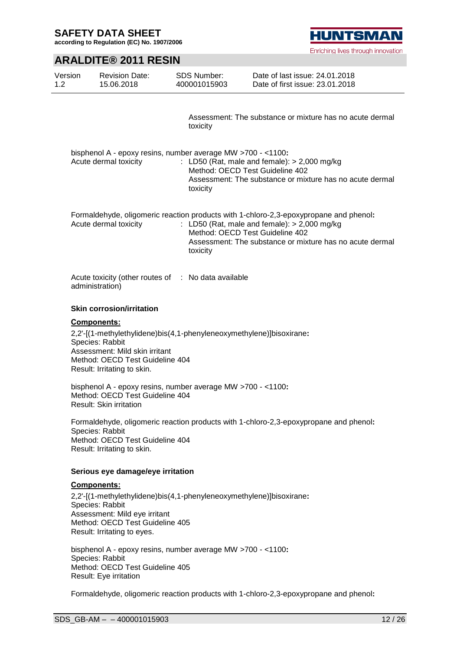**according to Regulation (EC) No. 1907/2006**

**HUNTSMAN** Enriching lives through innovation

### **ARALDITE® 2011 RESIN**

| Version<br>1.2 | <b>Revision Date:</b><br>15.06.2018                                                                                                                                                                               | <b>SDS Number:</b><br>400001015903          | Date of last issue: 24.01.2018<br>Date of first issue: 23.01.2018                                                                                                                                   |  |  |  |  |
|----------------|-------------------------------------------------------------------------------------------------------------------------------------------------------------------------------------------------------------------|---------------------------------------------|-----------------------------------------------------------------------------------------------------------------------------------------------------------------------------------------------------|--|--|--|--|
|                |                                                                                                                                                                                                                   |                                             |                                                                                                                                                                                                     |  |  |  |  |
|                |                                                                                                                                                                                                                   | toxicity                                    | Assessment: The substance or mixture has no acute dermal                                                                                                                                            |  |  |  |  |
|                | bisphenol A - epoxy resins, number average MW >700 - <1100:<br>Acute dermal toxicity                                                                                                                              | Method: OECD Test Guideline 402<br>toxicity | : LD50 (Rat, male and female): $> 2,000$ mg/kg<br>Assessment: The substance or mixture has no acute dermal                                                                                          |  |  |  |  |
|                | Acute dermal toxicity                                                                                                                                                                                             | Method: OECD Test Guideline 402<br>toxicity | Formaldehyde, oligomeric reaction products with 1-chloro-2,3-epoxypropane and phenol:<br>: LD50 (Rat, male and female): $> 2,000$ mg/kg<br>Assessment: The substance or mixture has no acute dermal |  |  |  |  |
|                | Acute toxicity (other routes of : No data available<br>administration)                                                                                                                                            |                                             |                                                                                                                                                                                                     |  |  |  |  |
|                | <b>Skin corrosion/irritation</b>                                                                                                                                                                                  |                                             |                                                                                                                                                                                                     |  |  |  |  |
|                | <b>Components:</b><br>2,2'-[(1-methylethylidene)bis(4,1-phenyleneoxymethylene)]bisoxirane:<br>Species: Rabbit<br>Assessment: Mild skin irritant<br>Method: OECD Test Guideline 404<br>Result: Irritating to skin. |                                             |                                                                                                                                                                                                     |  |  |  |  |
|                | bisphenol A - epoxy resins, number average MW >700 - <1100:<br>Method: OECD Test Guideline 404<br>Result: Skin irritation                                                                                         |                                             |                                                                                                                                                                                                     |  |  |  |  |
|                | Formaldehyde, oligomeric reaction products with 1-chloro-2,3-epoxypropane and phenol:<br>Species: Rabbit<br>Method: OECD Test Guideline 404<br>Result: Irritating to skin.                                        |                                             |                                                                                                                                                                                                     |  |  |  |  |
|                | Serious eye damage/eye irritation                                                                                                                                                                                 |                                             |                                                                                                                                                                                                     |  |  |  |  |
|                | Components:<br>2,2'-[(1-methylethylidene)bis(4,1-phenyleneoxymethylene)]bisoxirane:<br>Species: Rabbit<br>Assessment: Mild eye irritant<br>Method: OECD Test Guideline 405<br>Result: Irritating to eyes.         |                                             |                                                                                                                                                                                                     |  |  |  |  |
|                | bisphenol A - epoxy resins, number average MW >700 - <1100:<br>Species: Rabbit<br>Method: OECD Test Guideline 405<br>Result: Eye irritation                                                                       |                                             |                                                                                                                                                                                                     |  |  |  |  |
|                | Formaldehyde, oligomeric reaction products with 1-chloro-2,3-epoxypropane and phenol:                                                                                                                             |                                             |                                                                                                                                                                                                     |  |  |  |  |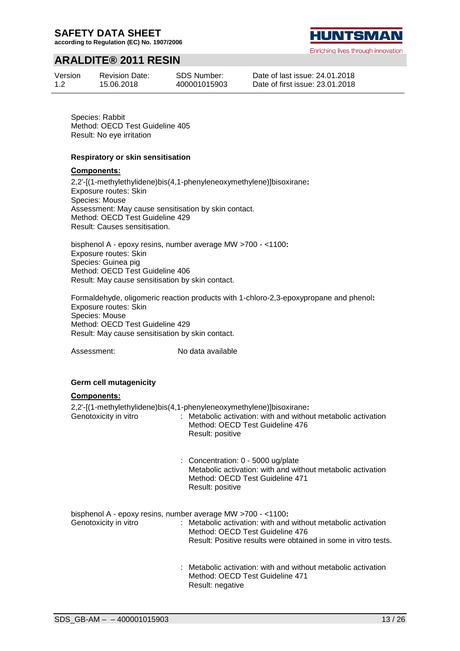**according to Regulation (EC) No. 1907/2006**

### **ARALDITE® 2011 RESIN**

Version 1.2

Revision Date: 15.06.2018



Date of last issue: 24.01.2018 Date of first issue: 23.01.2018

Species: Rabbit Method: OECD Test Guideline 405 Result: No eye irritation

#### **Respiratory or skin sensitisation**

#### **Components:**

2,2'-[(1-methylethylidene)bis(4,1-phenyleneoxymethylene)]bisoxirane**:** Exposure routes: Skin Species: Mouse Assessment: May cause sensitisation by skin contact. Method: OECD Test Guideline 429 Result: Causes sensitisation.

bisphenol A - epoxy resins, number average MW >700 - <1100**:** Exposure routes: Skin Species: Guinea pig Method: OECD Test Guideline 406 Result: May cause sensitisation by skin contact.

Formaldehyde, oligomeric reaction products with 1-chloro-2,3-epoxypropane and phenol**:** Exposure routes: Skin Species: Mouse Method: OECD Test Guideline 429 Result: May cause sensitisation by skin contact.

Assessment: No data available

#### **Germ cell mutagenicity**

#### **Components:**

2,2'-[(1-methylethylidene)bis(4,1-phenyleneoxymethylene)]bisoxirane**:**

Genotoxicity in vitro : Metabolic activation: with and without metabolic activation Method: OECD Test Guideline 476 Result: positive

> : Concentration: 0 - 5000 ug/plate Metabolic activation: with and without metabolic activation Method: OECD Test Guideline 471 Result: positive

bisphenol A - epoxy resins, number average MW >700 - <1100**:**

Genotoxicity in vitro : Metabolic activation: with and without metabolic activation Method: OECD Test Guideline 476 Result: Positive results were obtained in some in vitro tests.

> : Metabolic activation: with and without metabolic activation Method: OECD Test Guideline 471 Result: negative

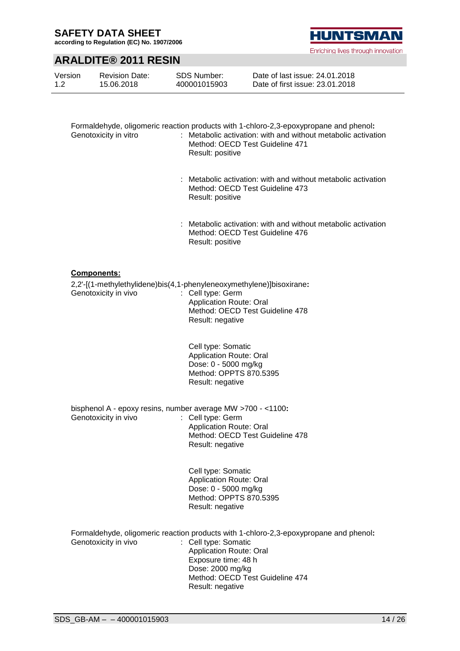**according to Regulation (EC) No. 1907/2006**

### **ARALDITE® 2011 RESIN**

| Version | <b>Revision Date:</b> | SDS Number:  | Date of last issue: 24.01.2018  |
|---------|-----------------------|--------------|---------------------------------|
| 1.2     | 15.06.2018            | 400001015903 | Date of first issue: 23.01.2018 |

| Genotoxicity in vitro                                                               | Formaldehyde, oligomeric reaction products with 1-chloro-2,3-epoxypropane and phenol:<br>: Metabolic activation: with and without metabolic activation<br>Method: OECD Test Guideline 471<br>Result: positive |
|-------------------------------------------------------------------------------------|---------------------------------------------------------------------------------------------------------------------------------------------------------------------------------------------------------------|
|                                                                                     | : Metabolic activation: with and without metabolic activation<br>Method: OECD Test Guideline 473<br>Result: positive                                                                                          |
|                                                                                     | : Metabolic activation: with and without metabolic activation<br>Method: OECD Test Guideline 476<br>Result: positive                                                                                          |
| <u>Components:</u>                                                                  |                                                                                                                                                                                                               |
|                                                                                     | 2,2'-[(1-methylethylidene)bis(4,1-phenyleneoxymethylene)]bisoxirane:                                                                                                                                          |
| Genotoxicity in vivo                                                                | : Cell type: Germ<br>Application Route: Oral                                                                                                                                                                  |
|                                                                                     | Method: OECD Test Guideline 478<br>Result: negative                                                                                                                                                           |
|                                                                                     | Cell type: Somatic                                                                                                                                                                                            |
|                                                                                     | <b>Application Route: Oral</b><br>Dose: 0 - 5000 mg/kg                                                                                                                                                        |
|                                                                                     | Method: OPPTS 870.5395<br>Result: negative                                                                                                                                                                    |
| bisphenol A - epoxy resins, number average MW >700 - <1100:<br>Genotoxicity in vivo | : Cell type: Germ                                                                                                                                                                                             |
|                                                                                     | <b>Application Route: Oral</b>                                                                                                                                                                                |
|                                                                                     | Method: OECD Test Guideline 478<br>Result: negative                                                                                                                                                           |
|                                                                                     | Cell type: Somatic<br><b>Application Route: Oral</b>                                                                                                                                                          |
|                                                                                     | Dose: 0 - 5000 mg/kg<br>Method: OPPTS 870.5395                                                                                                                                                                |
|                                                                                     | Result: negative                                                                                                                                                                                              |
| Genotoxicity in vivo                                                                | Formaldehyde, oligomeric reaction products with 1-chloro-2,3-epoxypropane and phenol:<br>: Cell type: Somatic                                                                                                 |
|                                                                                     | Application Route: Oral                                                                                                                                                                                       |
|                                                                                     | Exposure time: 48 h<br>Dose: 2000 mg/kg                                                                                                                                                                       |
|                                                                                     | Method: OECD Test Guideline 474<br>Result: negative                                                                                                                                                           |
|                                                                                     |                                                                                                                                                                                                               |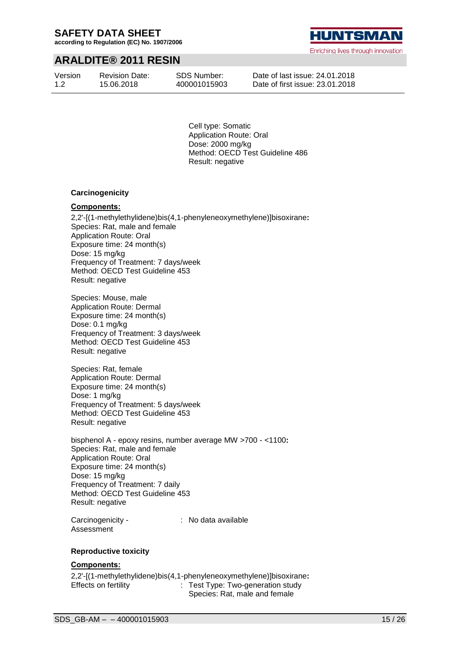**according to Regulation (EC) No. 1907/2006**

### **ARALDITE® 2011 RESIN**

Version 1.2

Revision Date: 15.06.2018

SDS Number: 400001015903 **HUNTSMA** 

Enriching lives through innovation

Date of last issue: 24.01.2018 Date of first issue: 23.01.2018

Cell type: Somatic Application Route: Oral Dose: 2000 mg/kg Method: OECD Test Guideline 486 Result: negative

#### **Carcinogenicity**

#### **Components:**

2,2'-[(1-methylethylidene)bis(4,1-phenyleneoxymethylene)]bisoxirane**:** Species: Rat, male and female Application Route: Oral Exposure time: 24 month(s) Dose: 15 mg/kg Frequency of Treatment: 7 days/week Method: OECD Test Guideline 453 Result: negative

Species: Mouse, male Application Route: Dermal Exposure time: 24 month(s) Dose: 0.1 mg/kg Frequency of Treatment: 3 days/week Method: OECD Test Guideline 453 Result: negative

Species: Rat, female Application Route: Dermal Exposure time: 24 month(s) Dose: 1 mg/kg Frequency of Treatment: 5 days/week Method: OECD Test Guideline 453 Result: negative

bisphenol A - epoxy resins, number average MW >700 - <1100**:** Species: Rat, male and female Application Route: Oral Exposure time: 24 month(s) Dose: 15 mg/kg Frequency of Treatment: 7 daily Method: OECD Test Guideline 453 Result: negative

Carcinogenicity - Assessment

: No data available

#### **Reproductive toxicity**

#### **Components:**

2,2'-[(1-methylethylidene)bis(4,1-phenyleneoxymethylene)]bisoxirane**:** Effects on fertility : Test Type: Two-generation study Species: Rat, male and female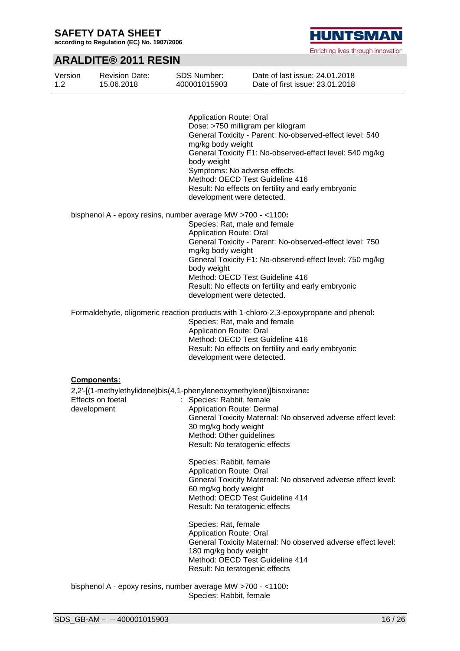**according to Regulation (EC) No. 1907/2006**

**HUNTSMAN** 

Enriching lives through innovation

### **ARALDITE® 2011 RESIN**

| Version<br>1.2 | <b>Revision Date:</b><br>15.06.2018 | <b>SDS Number:</b><br>400001015903                                   | Date of last issue: 24.01.2018<br>Date of first issue: 23.01.2018                     |
|----------------|-------------------------------------|----------------------------------------------------------------------|---------------------------------------------------------------------------------------|
|                |                                     |                                                                      |                                                                                       |
|                |                                     | <b>Application Route: Oral</b>                                       |                                                                                       |
|                |                                     |                                                                      | Dose: >750 milligram per kilogram                                                     |
|                |                                     |                                                                      | General Toxicity - Parent: No-observed-effect level: 540                              |
|                |                                     | mg/kg body weight                                                    |                                                                                       |
|                |                                     | body weight                                                          | General Toxicity F1: No-observed-effect level: 540 mg/kg                              |
|                |                                     |                                                                      | Symptoms: No adverse effects                                                          |
|                |                                     |                                                                      | Method: OECD Test Guideline 416                                                       |
|                |                                     |                                                                      | Result: No effects on fertility and early embryonic                                   |
|                |                                     | development were detected.                                           |                                                                                       |
|                |                                     | bisphenol A - epoxy resins, number average MW >700 - <1100:          |                                                                                       |
|                |                                     |                                                                      | Species: Rat, male and female                                                         |
|                |                                     | <b>Application Route: Oral</b>                                       |                                                                                       |
|                |                                     |                                                                      | General Toxicity - Parent: No-observed-effect level: 750                              |
|                |                                     | mg/kg body weight                                                    |                                                                                       |
|                |                                     |                                                                      | General Toxicity F1: No-observed-effect level: 750 mg/kg                              |
|                |                                     | body weight                                                          |                                                                                       |
|                |                                     |                                                                      | Method: OECD Test Guideline 416                                                       |
|                |                                     |                                                                      | Result: No effects on fertility and early embryonic                                   |
|                |                                     | development were detected.                                           |                                                                                       |
|                |                                     |                                                                      | Formaldehyde, oligomeric reaction products with 1-chloro-2,3-epoxypropane and phenol: |
|                |                                     |                                                                      | Species: Rat, male and female                                                         |
|                |                                     | <b>Application Route: Oral</b>                                       |                                                                                       |
|                |                                     |                                                                      | Method: OECD Test Guideline 416                                                       |
|                |                                     |                                                                      | Result: No effects on fertility and early embryonic                                   |
|                |                                     | development were detected.                                           |                                                                                       |
|                |                                     |                                                                      |                                                                                       |
|                | <b>Components:</b>                  |                                                                      |                                                                                       |
|                |                                     | 2,2'-[(1-methylethylidene)bis(4,1-phenyleneoxymethylene)]bisoxirane: |                                                                                       |
|                | Effects on foetal                   | : Species: Rabbit, female                                            |                                                                                       |
|                | development                         | <b>Application Route: Dermal</b>                                     |                                                                                       |
|                |                                     |                                                                      | General Toxicity Maternal: No observed adverse effect level:                          |
|                |                                     | 30 mg/kg body weight                                                 |                                                                                       |
|                |                                     | Method: Other guidelines                                             |                                                                                       |
|                |                                     | Result: No teratogenic effects                                       |                                                                                       |
|                |                                     |                                                                      |                                                                                       |
|                |                                     | Species: Rabbit, female                                              |                                                                                       |
|                |                                     | <b>Application Route: Oral</b>                                       |                                                                                       |
|                |                                     |                                                                      | General Toxicity Maternal: No observed adverse effect level:                          |
|                |                                     | 60 mg/kg body weight                                                 |                                                                                       |
|                |                                     |                                                                      | Method: OECD Test Guideline 414                                                       |
|                |                                     | Result: No teratogenic effects                                       |                                                                                       |
|                |                                     | Species: Rat, female                                                 |                                                                                       |
|                |                                     | <b>Application Route: Oral</b>                                       |                                                                                       |
|                |                                     |                                                                      | General Toxicity Maternal: No observed adverse effect level:                          |
|                |                                     | 180 mg/kg body weight                                                |                                                                                       |
|                |                                     |                                                                      | Method: OECD Test Guideline 414                                                       |
|                |                                     | Result: No teratogenic effects                                       |                                                                                       |
|                |                                     |                                                                      |                                                                                       |
|                |                                     | bisphenol A - epoxy resins, number average MW >700 - <1100:          |                                                                                       |

Species: Rabbit, female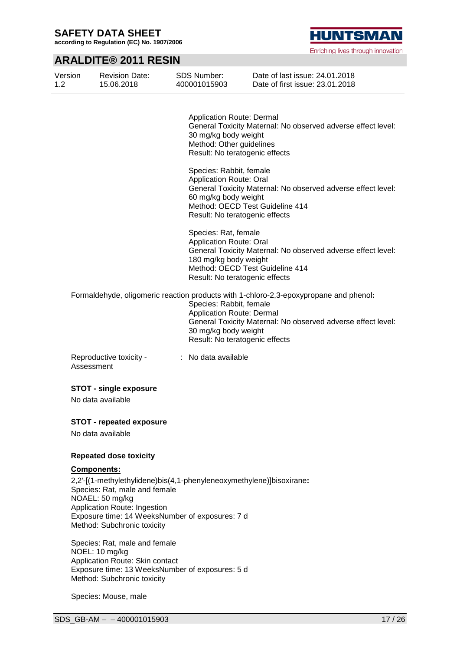Version

**according to Regulation (EC) No. 1907/2006**

### **ARALDITE® 2011 RESIN**

Revision Date:

1.2 15.06.2018 400001015903 Date of first issue: 23.01.2018 Application Route: Dermal General Toxicity Maternal: No observed adverse effect level: 30 mg/kg body weight Method: Other guidelines Result: No teratogenic effects Species: Rabbit, female Application Route: Oral General Toxicity Maternal: No observed adverse effect level: 60 mg/kg body weight Method: OECD Test Guideline 414 Result: No teratogenic effects Species: Rat, female Application Route: Oral General Toxicity Maternal: No observed adverse effect level: 180 mg/kg body weight Method: OECD Test Guideline 414 Result: No teratogenic effects Formaldehyde, oligomeric reaction products with 1-chloro-2,3-epoxypropane and phenol**:** Species: Rabbit, female Application Route: Dermal General Toxicity Maternal: No observed adverse effect level: 30 mg/kg body weight Result: No teratogenic effects Reproductive toxicity - Assessment : No data available **STOT - single exposure** No data available **STOT - repeated exposure** No data available **Repeated dose toxicity Components:** 2,2'-[(1-methylethylidene)bis(4,1-phenyleneoxymethylene)]bisoxirane**:** Species: Rat, male and female NOAEL: 50 mg/kg Application Route: Ingestion Exposure time: 14 WeeksNumber of exposures: 7 d Method: Subchronic toxicity

SDS Number:

Species: Rat, male and female NOEL: 10 mg/kg Application Route: Skin contact Exposure time: 13 WeeksNumber of exposures: 5 d Method: Subchronic toxicity

Species: Mouse, male

Date of last issue: 24.01.2018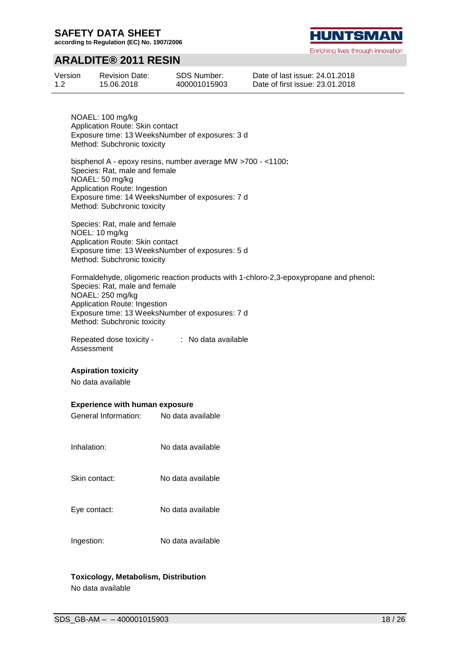**according to Regulation (EC) No. 1907/2006**

### **ARALDITE® 2011 RESIN**

Version 1.2 Revision Date: 15.06.2018

SDS Number: 400001015903 Date of last issue: 24.01.2018 Date of first issue: 23.01.2018

NOAEL: 100 mg/kg Application Route: Skin contact Exposure time: 13 WeeksNumber of exposures: 3 d Method: Subchronic toxicity

bisphenol A - epoxy resins, number average MW >700 - <1100**:** Species: Rat, male and female NOAEL: 50 mg/kg Application Route: Ingestion Exposure time: 14 WeeksNumber of exposures: 7 d Method: Subchronic toxicity

Species: Rat, male and female NOEL: 10 mg/kg Application Route: Skin contact Exposure time: 13 WeeksNumber of exposures: 5 d Method: Subchronic toxicity

Formaldehyde, oligomeric reaction products with 1-chloro-2,3-epoxypropane and phenol**:** Species: Rat, male and female NOAEL: 250 mg/kg Application Route: Ingestion Exposure time: 13 WeeksNumber of exposures: 7 d Method: Subchronic toxicity

Repeated dose toxicity - Assessment : No data available

#### **Aspiration toxicity**

No data available

#### **Experience with human exposure**

| Experience with human exposure |                   |
|--------------------------------|-------------------|
| General Information:           | No data available |
| Inhalation:                    | No data available |
| Skin contact:                  | No data available |
| Eye contact:                   | No data available |
| Ingestion:                     | No data available |

#### **Toxicology, Metabolism, Distribution** No data available

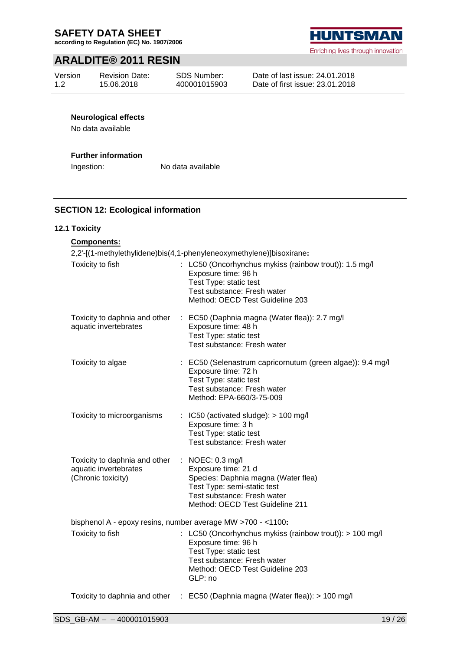**according to Regulation (EC) No. 1907/2006**

### **ARALDITE® 2011 RESIN**

Version 1.2

Revision Date: 15.06.2018

Enriching lives through innovation

Date of last issue: 24.01.2018 Date of first issue: 23.01.2018

#### **Neurological effects**

No data available

#### **Further information**

Ingestion: No data available

#### **SECTION 12: Ecological information**

#### **12.1 Toxicity**

| <b>Components:</b>                                                           |                                                                                                                                                                                            |  |  |  |  |
|------------------------------------------------------------------------------|--------------------------------------------------------------------------------------------------------------------------------------------------------------------------------------------|--|--|--|--|
|                                                                              | 2,2'-[(1-methylethylidene)bis(4,1-phenyleneoxymethylene)]bisoxirane:                                                                                                                       |  |  |  |  |
| Toxicity to fish                                                             | : LC50 (Oncorhynchus mykiss (rainbow trout)): 1.5 mg/l<br>Exposure time: 96 h<br>Test Type: static test<br>Test substance: Fresh water<br>Method: OECD Test Guideline 203                  |  |  |  |  |
| Toxicity to daphnia and other<br>aquatic invertebrates                       | : EC50 (Daphnia magna (Water flea)): 2.7 mg/l<br>Exposure time: 48 h<br>Test Type: static test<br>Test substance: Fresh water                                                              |  |  |  |  |
| Toxicity to algae                                                            | : EC50 (Selenastrum capricornutum (green algae)): 9.4 mg/l<br>Exposure time: 72 h<br>Test Type: static test<br>Test substance: Fresh water<br>Method: EPA-660/3-75-009                     |  |  |  |  |
| Toxicity to microorganisms                                                   | $\therefore$ IC50 (activated sludge): $>$ 100 mg/l<br>Exposure time: 3 h<br>Test Type: static test<br>Test substance: Fresh water                                                          |  |  |  |  |
| Toxicity to daphnia and other<br>aquatic invertebrates<br>(Chronic toxicity) | $\therefore$ NOEC: 0.3 mg/l<br>Exposure time: 21 d<br>Species: Daphnia magna (Water flea)<br>Test Type: semi-static test<br>Test substance: Fresh water<br>Method: OECD Test Guideline 211 |  |  |  |  |
| bisphenol A - epoxy resins, number average MW >700 - <1100:                  |                                                                                                                                                                                            |  |  |  |  |
| Toxicity to fish                                                             | : LC50 (Oncorhynchus mykiss (rainbow trout)): > 100 mg/l<br>Exposure time: 96 h<br>Test Type: static test<br>Test substance: Fresh water<br>Method: OECD Test Guideline 203<br>GLP: no     |  |  |  |  |
|                                                                              | Toxicity to daphnia and other : EC50 (Daphnia magna (Water flea)): > 100 mg/l                                                                                                              |  |  |  |  |
|                                                                              |                                                                                                                                                                                            |  |  |  |  |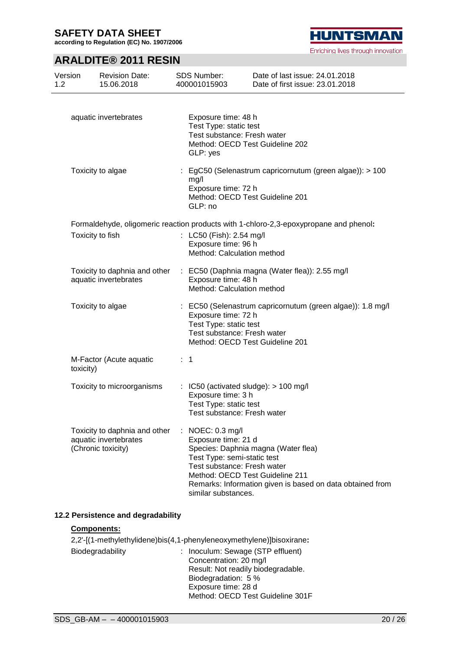**according to Regulation (EC) No. 1907/2006**

**HUNTSMAN** 

Enriching lives through innovation

### **ARALDITE® 2011 RESIN**

| Version<br>1.2 | <b>Revision Date:</b><br>15.06.2018                                                                                       | SDS Number:<br>400001015903                                                                                                                                               | Date of last issue: 24.01.2018<br>Date of first issue: 23.01.2018                                |
|----------------|---------------------------------------------------------------------------------------------------------------------------|---------------------------------------------------------------------------------------------------------------------------------------------------------------------------|--------------------------------------------------------------------------------------------------|
|                | aquatic invertebrates                                                                                                     | Exposure time: 48 h<br>Test Type: static test<br>Test substance: Fresh water<br>Method: OECD Test Guideline 202<br>GLP: yes                                               |                                                                                                  |
|                | Toxicity to algae                                                                                                         | mg/l<br>Exposure time: 72 h<br>Method: OECD Test Guideline 201<br>GLP: no                                                                                                 | : EgC50 (Selenastrum capricornutum (green algae)): > 100                                         |
|                | Toxicity to fish                                                                                                          | : LC50 (Fish): 2.54 mg/l<br>Exposure time: 96 h<br>Method: Calculation method                                                                                             | Formaldehyde, oligomeric reaction products with 1-chloro-2,3-epoxypropane and phenol:            |
|                | Toxicity to daphnia and other<br>aquatic invertebrates                                                                    | Exposure time: 48 h<br>Method: Calculation method                                                                                                                         | : EC50 (Daphnia magna (Water flea)): 2.55 mg/l                                                   |
|                | Toxicity to algae                                                                                                         | Exposure time: 72 h<br>Test Type: static test<br>Test substance: Fresh water<br>Method: OECD Test Guideline 201                                                           | : EC50 (Selenastrum capricornutum (green algae)): 1.8 mg/l                                       |
| toxicity)      | M-Factor (Acute aquatic                                                                                                   | $\therefore$ 1                                                                                                                                                            |                                                                                                  |
|                | Toxicity to microorganisms                                                                                                | $\therefore$ IC50 (activated sludge): $>$ 100 mg/l<br>Exposure time: 3 h<br>Test Type: static test<br>Test substance: Fresh water                                         |                                                                                                  |
|                | Toxicity to daphnia and other<br>aquatic invertebrates<br>(Chronic toxicity)                                              | : NOEC: $0.3 \text{ mg/l}$<br>Exposure time: 21 d<br>Test Type: semi-static test<br>Test substance: Fresh water<br>Method: OECD Test Guideline 211<br>similar substances. | Species: Daphnia magna (Water flea)<br>Remarks: Information given is based on data obtained from |
|                | 12.2 Persistence and degradability<br>Components:<br>2,2'-[(1-methylethylidene)bis(4,1-phenyleneoxymethylene)]bisoxirane: |                                                                                                                                                                           |                                                                                                  |

|                  | $E_{1}$ = $\frac{1}{2}$ = $\frac{1}{2}$ = $\frac{1}{2}$ = $\frac{1}{2}$ = $\frac{1}{2}$ = $\frac{1}{2}$ = $\frac{1}{2}$ = $\frac{1}{2}$ = $\frac{1}{2}$ = $\frac{1}{2}$ = $\frac{1}{2}$ = $\frac{1}{2}$ = $\frac{1}{2}$ = $\frac{1}{2}$ = $\frac{1}{2}$ = $\frac{1}{2}$ = $\frac{1}{2}$ = $\frac{1}{2}$ |
|------------------|---------------------------------------------------------------------------------------------------------------------------------------------------------------------------------------------------------------------------------------------------------------------------------------------------------|
| Biodegradability | : Inoculum: Sewage (STP effluent)                                                                                                                                                                                                                                                                       |
|                  | Concentration: 20 mg/l                                                                                                                                                                                                                                                                                  |
|                  | Result: Not readily biodegradable.                                                                                                                                                                                                                                                                      |
|                  | Biodegradation: 5 %                                                                                                                                                                                                                                                                                     |
|                  | Exposure time: 28 d                                                                                                                                                                                                                                                                                     |
|                  | Method: OECD Test Guideline 301F                                                                                                                                                                                                                                                                        |
|                  |                                                                                                                                                                                                                                                                                                         |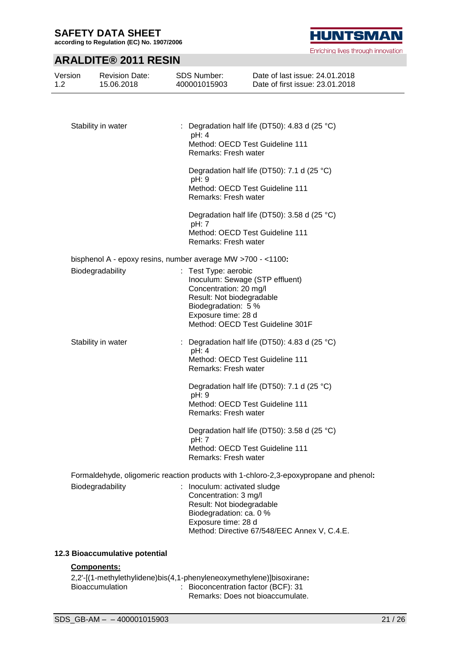÷,

**according to Regulation (EC) No. 1907/2006**

### **ARALDITE® 2011 RESIN**

| 1.2 | 15.06.2018           | 400001015903                                                                                                                         | Date of first issue: 23.01.2018                                                       |
|-----|----------------------|--------------------------------------------------------------------------------------------------------------------------------------|---------------------------------------------------------------------------------------|
|     |                      |                                                                                                                                      |                                                                                       |
|     | Stability in water   | pH: 4                                                                                                                                | : Degradation half life (DT50): 4.83 d (25 $^{\circ}$ C)                              |
|     |                      | Remarks: Fresh water                                                                                                                 | Method: OECD Test Guideline 111                                                       |
|     |                      | pH: 9                                                                                                                                | Degradation half life (DT50): 7.1 d (25 °C)                                           |
|     |                      | Remarks: Fresh water                                                                                                                 | Method: OECD Test Guideline 111                                                       |
|     |                      | pH: 7                                                                                                                                | Degradation half life (DT50): 3.58 d (25 °C)                                          |
|     |                      | Remarks: Fresh water                                                                                                                 | Method: OECD Test Guideline 111                                                       |
|     |                      | bisphenol A - epoxy resins, number average MW >700 - <1100:                                                                          |                                                                                       |
|     | Biodegradability     | Test Type: aerobic<br>Concentration: 20 mg/l<br>Result: Not biodegradable                                                            | Inoculum: Sewage (STP effluent)                                                       |
|     |                      | Biodegradation: 5 %<br>Exposure time: 28 d                                                                                           | Method: OECD Test Guideline 301F                                                      |
|     | Stability in water   |                                                                                                                                      | : Degradation half life (DT50): 4.83 d (25 $^{\circ}$ C)                              |
|     |                      | pH: 4<br>Remarks: Fresh water                                                                                                        | Method: OECD Test Guideline 111                                                       |
|     |                      | pH: 9                                                                                                                                | Degradation half life (DT50): 7.1 d (25 °C)                                           |
|     |                      | Remarks: Fresh water                                                                                                                 | Method: OECD Test Guideline 111                                                       |
|     |                      | pH: 7                                                                                                                                | Degradation half life (DT50): 3.58 d (25 °C)                                          |
|     | Remarks: Fresh water | Method: OECD Test Guideline 111                                                                                                      |                                                                                       |
|     |                      |                                                                                                                                      | Formaldehyde, oligomeric reaction products with 1-chloro-2,3-epoxypropane and phenol: |
|     | Biodegradability     | : Inoculum: activated sludge<br>Concentration: 3 mg/l<br>Result: Not biodegradable<br>Biodegradation: ca. 0 %<br>Exposure time: 28 d | Method: Directive 67/548/EEC Annex V, C.4.E.                                          |

#### **12.3 Bioaccumulative potential**

#### **Components:**

2,2'-[(1-methylethylidene)bis(4,1-phenyleneoxymethylene)]bisoxirane**:** : Bioconcentration factor (BCF): 31 Remarks: Does not bioaccumulate.

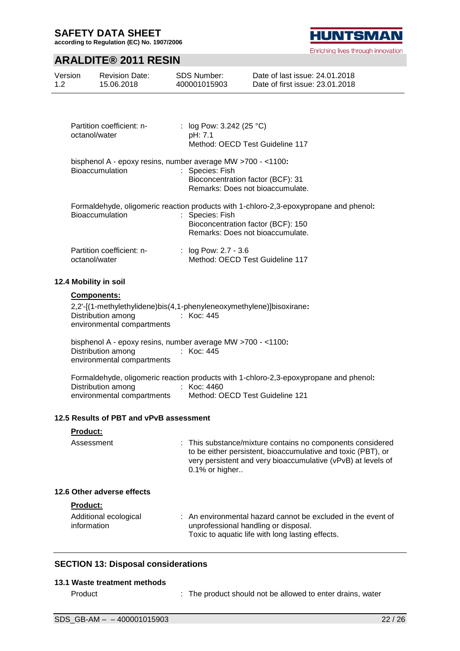Version 1.2

**according to Regulation (EC) No. 1907/2006**

### **ARALDITE® 2011 RESIN**

| Partition coefficient: n-<br>octanol/water                                                                      | : $log Pow: 3.242 (25 °C)$<br>pH: 7.1<br>Method: OECD Test Guideline 117                                                                                                                                   |
|-----------------------------------------------------------------------------------------------------------------|------------------------------------------------------------------------------------------------------------------------------------------------------------------------------------------------------------|
| bisphenol A - epoxy resins, number average MW >700 - <1100:<br>Bioaccumulation                                  | : Species: Fish<br>Bioconcentration factor (BCF): 31<br>Remarks: Does not bioaccumulate.                                                                                                                   |
| <b>Bioaccumulation</b>                                                                                          | Formaldehyde, oligomeric reaction products with 1-chloro-2,3-epoxypropane and phenol:<br>: Species: Fish<br>Bioconcentration factor (BCF): 150<br>Remarks: Does not bioaccumulate.                         |
| Partition coefficient: n-<br>octanol/water                                                                      | : $log Pow: 2.7 - 3.6$<br>Method: OECD Test Guideline 117                                                                                                                                                  |
| 12.4 Mobility in soil                                                                                           |                                                                                                                                                                                                            |
| <b>Components:</b><br>Distribution among : Koc: 445<br>environmental compartments                               | 2,2'-[(1-methylethylidene)bis(4,1-phenyleneoxymethylene)]bisoxirane:                                                                                                                                       |
| bisphenol A - epoxy resins, number average MW >700 - <1100:<br>Distribution among<br>environmental compartments | : Koc: 445                                                                                                                                                                                                 |
| Distribution among<br>environmental compartments                                                                | Formaldehyde, oligomeric reaction products with 1-chloro-2,3-epoxypropane and phenol:<br>: Koc: 4460<br>Method: OECD Test Guideline 121                                                                    |
| 12.5 Results of PBT and vPvB assessment                                                                         |                                                                                                                                                                                                            |
| <b>Product:</b>                                                                                                 |                                                                                                                                                                                                            |
| Assessment                                                                                                      | This substance/mixture contains no components considered<br>to be either persistent, bioaccumulative and toxic (PBT), or<br>very persistent and very bioaccumulative (vPvB) at levels of<br>0.1% or higher |
| 12.6 Other adverse effects                                                                                      |                                                                                                                                                                                                            |
| <b>Product:</b>                                                                                                 |                                                                                                                                                                                                            |
| Additional ecological<br>information                                                                            | : An environmental hazard cannot be excluded in the event of<br>unprofessional handling or disposal.<br>Toxic to aquatic life with long lasting effects.                                                   |
| <b>SECTION 13: Disposal considerations</b>                                                                      |                                                                                                                                                                                                            |
| 13.1 Waste treatment methods                                                                                    |                                                                                                                                                                                                            |
| Product                                                                                                         | The product should not be allowed to enter drains, water                                                                                                                                                   |



Enriching lives through innovation

Date of last issue: 24.01.2018 Date of first issue: 23.01.2018

Revision Date: 15.06.2018 SDS Number: 400001015903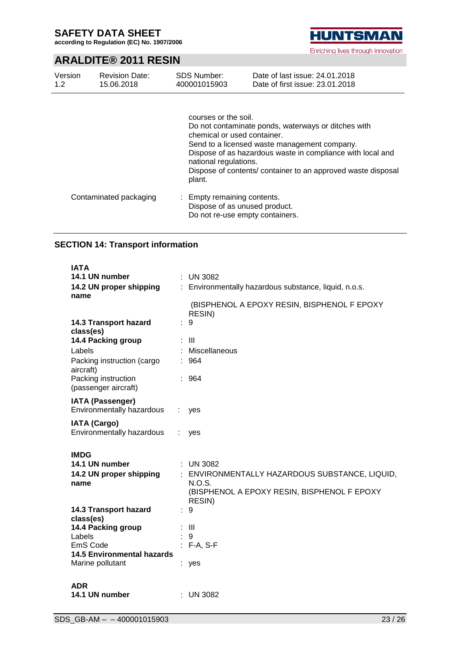**according to Regulation (EC) No. 1907/2006**

**HUNTSMAN** Enriching lives through innovation

### **ARALDITE® 2011 RESIN**

| Version<br>1.2 | <b>Revision Date:</b><br>15.06.2018 | <b>SDS Number:</b><br>400001015903                                                     | Date of last issue: 24,01,2018<br>Date of first issue: 23.01.2018                                                                                                                                                                 |
|----------------|-------------------------------------|----------------------------------------------------------------------------------------|-----------------------------------------------------------------------------------------------------------------------------------------------------------------------------------------------------------------------------------|
|                |                                     | courses or the soil.<br>chemical or used container.<br>national regulations.<br>plant. | Do not contaminate ponds, waterways or ditches with<br>Send to a licensed waste management company.<br>Dispose of as hazardous waste in compliance with local and<br>Dispose of contents/ container to an approved waste disposal |
|                | Contaminated packaging              | Empty remaining contents.<br>÷.                                                        | Dispose of as unused product.                                                                                                                                                                                                     |

Do not re-use empty containers.

### **SECTION 14: Transport information**

| <b>IATA</b>                                          |   |                                                       |
|------------------------------------------------------|---|-------------------------------------------------------|
| 14.1 UN number                                       |   | $:$ UN 3082                                           |
| 14.2 UN proper shipping<br>name                      |   | : Environmentally hazardous substance, liquid, n.o.s. |
|                                                      |   | (BISPHENOL A EPOXY RESIN, BISPHENOL F EPOXY<br>RESIN) |
| 14.3 Transport hazard<br>class(es)                   |   | 9                                                     |
| 14.4 Packing group                                   |   | $\therefore$ III                                      |
| Labels                                               |   | Miscellaneous                                         |
| Packing instruction (cargo<br>aircraft)              |   | : 964                                                 |
| Packing instruction<br>(passenger aircraft)          |   | : 964                                                 |
| <b>IATA (Passenger)</b><br>Environmentally hazardous | ÷ | yes                                                   |
| <b>IATA (Cargo)</b><br>Environmentally hazardous     |   | yes                                                   |
| <b>IMDG</b>                                          |   |                                                       |
| 14.1 UN number                                       |   | : UN 3082                                             |
| 14.2 UN proper shipping                              |   | : ENVIRONMENTALLY HAZARDOUS SUBSTANCE, LIQUID,        |
| name                                                 |   | N.O.S.                                                |
|                                                      |   | (BISPHENOL A EPOXY RESIN, BISPHENOL F EPOXY<br>RESIN) |
| 14.3 Transport hazard<br>class(es)                   |   | 9                                                     |
| 14.4 Packing group                                   |   | $\mathbf{III}$                                        |
| Labels                                               |   | 9                                                     |
| EmS Code                                             |   | F-A, S-F                                              |
| <b>14.5 Environmental hazards</b>                    |   |                                                       |
| Marine pollutant                                     |   | : yes                                                 |
| <b>ADR</b>                                           |   |                                                       |
| 14.1 UN number                                       |   | $:$ UN 3082                                           |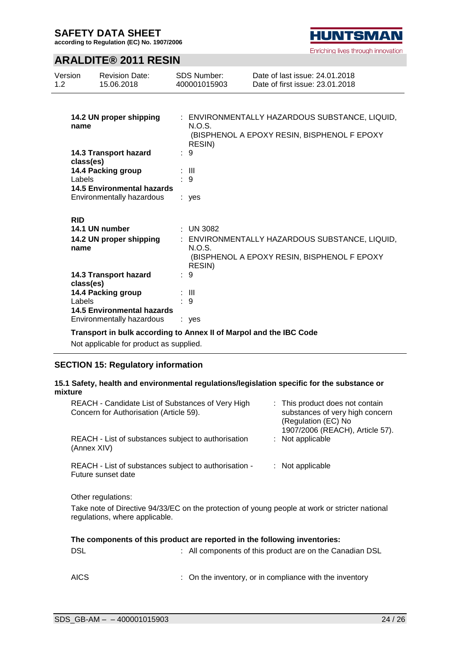**according to Regulation (EC) No. 1907/2006**

### **ARALDITE® 2011 RESIN**

| Version<br>1.2 |            | <b>Revision Date:</b><br>15.06.2018 | <b>SDS Number:</b><br>400001015903 | Date of last issue: 24.01.2018<br>Date of first issue: 23.01.2018 |
|----------------|------------|-------------------------------------|------------------------------------|-------------------------------------------------------------------|
|                |            |                                     |                                    |                                                                   |
|                |            | 14.2 UN proper shipping             |                                    | : ENVIRONMENTALLY HAZARDOUS SUBSTANCE, LIQUID,                    |
|                | name       |                                     | N.O.S.<br>RESIN)                   | (BISPHENOL A EPOXY RESIN, BISPHENOL F EPOXY                       |
|                | class(es)  | 14.3 Transport hazard               | : 9                                |                                                                   |
|                |            | 14.4 Packing group                  | : III                              |                                                                   |
|                | Labels     | <b>14.5 Environmental hazards</b>   | $\cdot$ 9                          |                                                                   |
|                |            | Environmentally hazardous           | : yes                              |                                                                   |
|                | <b>RID</b> |                                     |                                    |                                                                   |
|                |            | 14.1 UN number                      | $\therefore$ UN 3082               |                                                                   |
|                | name       | 14.2 UN proper shipping             | N.O.S.                             | : ENVIRONMENTALLY HAZARDOUS SUBSTANCE, LIQUID,                    |
|                |            |                                     | RESIN)                             | (BISPHENOL A EPOXY RESIN, BISPHENOL F EPOXY                       |
|                |            | 14.3 Transport hazard               | : 9                                |                                                                   |
|                | class(es)  |                                     |                                    |                                                                   |
|                |            | 14.4 Packing group                  | : III                              |                                                                   |
|                | Labels     |                                     | 9                                  |                                                                   |
|                |            | 14.5 Environmental hazards          |                                    |                                                                   |
|                |            | Environmentally hazardous           | ves                                |                                                                   |

### **Transport in bulk according to Annex II of Marpol and the IBC Code**

Not applicable for product as supplied.

### **SECTION 15: Regulatory information**

#### **15.1 Safety, health and environmental regulations/legislation specific for the substance or mixture**

| REACH - Candidate List of Substances of Very High<br>Concern for Authorisation (Article 59).                                     | : This product does not contain<br>substances of very high concern<br>(Regulation (EC) No<br>1907/2006 (REACH), Article 57). |                  |  |
|----------------------------------------------------------------------------------------------------------------------------------|------------------------------------------------------------------------------------------------------------------------------|------------------|--|
| REACH - List of substances subject to authorisation<br>(Annex XIV)                                                               |                                                                                                                              | : Not applicable |  |
| REACH - List of substances subject to authorisation -<br>Future sunset date                                                      |                                                                                                                              | : Not applicable |  |
| Other regulations:                                                                                                               |                                                                                                                              |                  |  |
| Take note of Directive 94/33/EC on the protection of young people at work or stricter national<br>regulations, where applicable. |                                                                                                                              |                  |  |

|     | The components of this product are reported in the following inventories: |
|-----|---------------------------------------------------------------------------|
| DSL | : All components of this product are on the Canadian DSL                  |

| : On the inventory, or in compliance with the inventory |
|---------------------------------------------------------|
|                                                         |

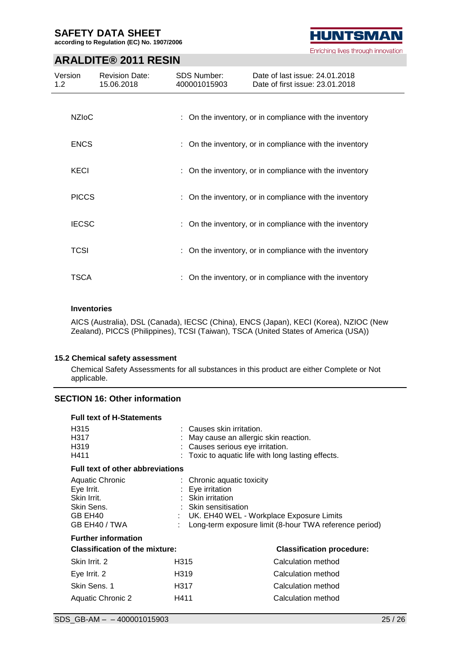**according to Regulation (EC) No. 1907/2006**

# **HUNTSMAN** Enriching lives through innovation

### **ARALDITE® 2011 RESIN**

| Version<br>1.2 <sub>1</sub> | <b>Revision Date:</b><br>15.06.2018 | <b>SDS Number:</b><br>400001015903 | Date of last issue: 24.01.2018<br>Date of first issue: 23.01.2018 |
|-----------------------------|-------------------------------------|------------------------------------|-------------------------------------------------------------------|
| <b>NZIOC</b>                |                                     |                                    | : On the inventory, or in compliance with the inventory           |
| <b>ENCS</b>                 |                                     |                                    | : On the inventory, or in compliance with the inventory           |
| KECI                        |                                     |                                    | : On the inventory, or in compliance with the inventory           |
| <b>PICCS</b>                |                                     |                                    | : On the inventory, or in compliance with the inventory           |
| <b>IECSC</b>                |                                     |                                    | : On the inventory, or in compliance with the inventory           |
| <b>TCSI</b>                 |                                     |                                    | : On the inventory, or in compliance with the inventory           |
| TSCA                        |                                     |                                    | On the inventory, or in compliance with the inventory             |

#### **Inventories**

AICS (Australia), DSL (Canada), IECSC (China), ENCS (Japan), KECI (Korea), NZIOC (New Zealand), PICCS (Philippines), TCSI (Taiwan), TSCA (United States of America (USA))

#### **15.2 Chemical safety assessment**

Chemical Safety Assessments for all substances in this product are either Complete or Not applicable.

### **SECTION 16: Other information**

| <b>Full text of H-Statements</b>                                                       |                                                                                         |                                                                                                                            |
|----------------------------------------------------------------------------------------|-----------------------------------------------------------------------------------------|----------------------------------------------------------------------------------------------------------------------------|
| H315<br>H317<br>H319<br>H411                                                           | $\therefore$ Causes skin irritation.                                                    | May cause an allergic skin reaction.<br>Causes serious eye irritation.<br>Toxic to aquatic life with long lasting effects. |
| <b>Full text of other abbreviations</b>                                                |                                                                                         |                                                                                                                            |
| Aquatic Chronic<br>Eye Irrit.<br>Skin Irrit.<br>Skin Sens.<br>GB EH40<br>GB EH40 / TWA | : Chronic aquatic toxicity<br>Eye irritation<br>: Skin irritation<br>Skin sensitisation | UK. EH40 WEL - Workplace Exposure Limits<br>Long-term exposure limit (8-hour TWA reference period)                         |
| <b>Further information</b>                                                             |                                                                                         |                                                                                                                            |
| <b>Classification of the mixture:</b>                                                  |                                                                                         | <b>Classification procedure:</b>                                                                                           |
| Skin Irrit. 2                                                                          | H315                                                                                    | Calculation method                                                                                                         |
| Eye Irrit. 2                                                                           | H319                                                                                    | Calculation method                                                                                                         |
| Skin Sens. 1                                                                           | H317                                                                                    | Calculation method                                                                                                         |
| Aquatic Chronic 2                                                                      | H411                                                                                    | Calculation method                                                                                                         |